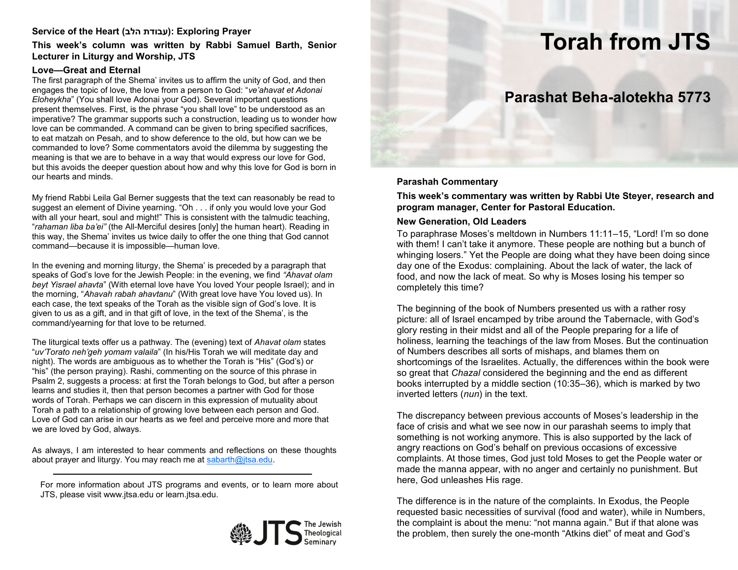# Service of the Heart (עבודת הלב): Exploring Prayer

### **This week's column was written by Rabbi Samuel Barth, Senior Lecturer in Liturgy and Worship, JTS**

#### **Love—Great and Eternal**

The first paragraph of the Shema' invites us to affirm the unity of God, and then engages the topic of love, the love from a person to God: "*ve'ahavat et Adonai Eloheykha*" (You shall love Adonai your God). Several important questions present themselves. First, is the phrase "you shall love" to be understood as an imperative? The grammar supports such a construction, leading us to wonder how love can be commanded. A command can be given to bring specified sacrifices, to eat matzah on Pesah, and to show deference to the old, but how can we be commanded to love? Some commentators avoid the dilemma by suggesting the meaning is that we are to behave in a way that would express our love for God, but this avoids the deeper question about how and why this love for God is born in our hearts and minds.

My friend Rabbi Leila Gal Berner suggests that the text can reasonably be read to suggest an element of Divine yearning. "Oh . . . if only you would love your God with all your heart, soul and might!" This is consistent with the talmudic teaching, "*rahaman liba ba'ei"* (the All-Merciful desires [only] the human heart). Reading in this way, the Shema' invites us twice daily to offer the one thing that God cannot command—because it is impossible—human love.

In the evening and morning liturgy, the Shema' is preceded by a paragraph that speaks of God's love for the Jewish People: in the evening, we find *"Ahavat olam beyt Yisrael ahavta*" (With eternal love have You loved Your people Israel); and in the morning, "*Ahavah rabah ahavtanu*" (With great love have You loved us). In each case, the text speaks of the Torah as the visible sign of God's love. It is given to us as a gift, and in that gift of love, in the text of the Shema', is the command/yearning for that love to be returned.

The liturgical texts offer us a pathway. The (evening) text of *Ahavat olam* states "*uv'Torato neh'geh yomam valaila*" (In his/His Torah we will meditate day and night). The words are ambiguous as to whether the Torah is "His" (God's) or "his" (the person praying). Rashi, commenting on the source of this phrase in Psalm 2, suggests a process: at first the Torah belongs to God, but after a person learns and studies it, then that person becomes a partner with God for those words of Torah. Perhaps we can discern in this expression of mutuality about Torah a path to a relationship of growing love between each person and God. Love of God can arise in our hearts as we feel and perceive more and more that we are loved by God, always.

As always, I am interested to hear comments and reflections on these thoughts about prayer and liturgy. You may reach me at [sabarth@jtsa.edu.](mailto:sabarth@jtsa.edu)

For more information about JTS programs and events, or to learn more about JTS, please visit www.jtsa.edu or learn.jtsa.edu.



# **Torah from JTS**

# **Parashat Beha-alotekha 5773**

#### **Parashah Commentary**

**This week's commentary was written by Rabbi Ute Steyer, research and program manager, Center for Pastoral Education.**

#### **New Generation, Old Leaders**

To paraphrase Moses's meltdown in Numbers 11:11–15, "Lord! I'm so done with them! I can't take it anymore. These people are nothing but a bunch of whinging losers." Yet the People are doing what they have been doing since day one of the Exodus: complaining. About the lack of water, the lack of food, and now the lack of meat. So why is Moses losing his temper so completely this time?

The beginning of the book of Numbers presented us with a rather rosy picture: all of Israel encamped by tribe around the Tabernacle, with God's glory resting in their midst and all of the People preparing for a life of holiness, learning the teachings of the law from Moses. But the continuation of Numbers describes all sorts of mishaps, and blames them on shortcomings of the Israelites. Actually, the differences within the book were so great that *Chazal* considered the beginning and the end as different books interrupted by a middle section (10:35–36), which is marked by two inverted letters (*nun*) in the text.

The discrepancy between previous accounts of Moses's leadership in the face of crisis and what we see now in our parashah seems to imply that something is not working anymore. This is also supported by the lack of angry reactions on God's behalf on previous occasions of excessive complaints. At those times, God just told Moses to get the People water or made the manna appear, with no anger and certainly no punishment. But here, God unleashes His rage.

The difference is in the nature of the complaints. In Exodus, the People requested basic necessities of survival (food and water), while in Numbers, the complaint is about the menu: "not manna again." But if that alone was the problem, then surely the one-month "Atkins diet" of meat and God's